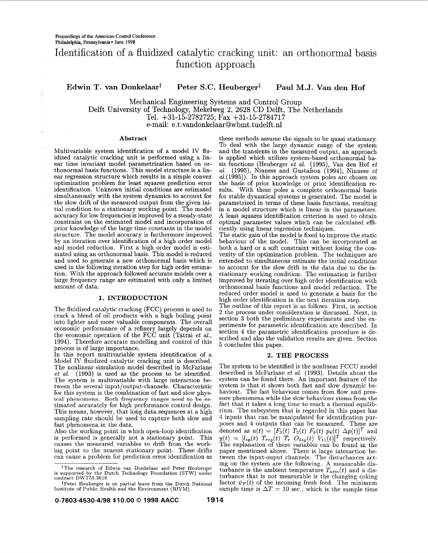# Identification of a fluidized catalytic cracking unit: an orthonormal basis function approach

## Edwin T. van Donkelaar<sup>t</sup> Peter S.C. Heuberger<sup>§</sup> Paul M.J. Van den Hof

Mechanical Engineering Systems and Control Group Delft University of Technology, Mekelweg 2, 2628 CD Delft, The Netherlands Tel. +31-15-2782725; Fax +31-15-2784717 e-mail: e.t.vandonkelaar@wbmt.tudelft.nl

idized catalytic cracking unit is performed using a lin- is applied which utilizes system-based orthonormal ba-<br>ear time invariant model parametrization based on or- sis functions (Heuberger *et al.* (1995), Van den Hof *e* thonormal basis functions. This model structure is a lin- al. (1995), Ninness and Gustafson (1994), Ninness *et* ear regression structure which results in a simple convex al. (1995)). In this approach system poles are cho identification. Unknown initial conditions are estimated sults. With these poles a complete orthonormal basis simultaneously with the system dynamics to account for for stable dynamical systems is generated. The model is simultaneously with the system dynamics to account for for stable dynamical systems is generated. The model is<br>the slow drift of the measured output from the given ini- parametrized in terms of these basis functions, resul the slow drift of the measured output from the given ini-<br>tial condition to a stationary working point. The model in a model structure which is linear in the parameters. tial condition to a stationary working point. The model in a model structure which is linear in the parameters.<br>accuracy for low frequencies is improved by a steady-state A least squares identification criterion is used to accuracy for low frequencies is improved by a steady-state **A** least squares identification criterion is used to obtain prior knowledge of the large time constants in the model structure. The model accuracy is furthermore improved. structure. The model accuracy is furthermore improved The static gain of the model is fixed to improve the static and model reduction. First a high order model is esti- both a hard or a soft constraint without losing the con-<br>mated using an orthonormal basis. This model is reduced vexity of the optimization problem. The techniques are and used to generate a new orthonormal basis which is extended to simultaneous estimate the initial conditions<br>used in the following iteration step for high order estimation is account for the slow drift in the data due to tion. With the approach followed accurate models over a stationary working condition. The estimation is further<br>large frequency range are estimated with only a limited improved by iterating over high order identification w large frequency range are estimated with only a limited improved by iterating over high order identification with

The fluidized catalytic cracking (FCC) process is used to crack a blend of oil products with a high boiling point into lighter and more valuable components. The overall economic performance of a refinery largely depends on the economic operation of the FCC unit (Tatrai *et* al., 1994). Therefore accurate modelling and control of this process is of large importance.

In this report multivariable system identification of a Model IV fluidized catalytic cracking unit is described. The nonlinear simulation model described in McFarlane *et al.* (1993) is used as the process to be identified. The system is multivariable with large interaction between the several input/output-channels. Characteristic for this system is the combination of fast and slow physical phenomena. Both frequency ranges need to be estimated accurately for high performance control design. This means, however, that long data sequences at a high sampling rate should be used to capture both slow and fast phenomena in the data.

Also the working point in which open-loop identification is performed is generally not a stationary point. This causes the measured variables to drift from the working point to the nearest stationary point. These drifts can cause a problem for prediction error identification as

\$The research of Edwin van Donkelaar and Peter Heuberger is supported by the Dutch Technology Foundation (STW) under contract DWT55.3618

Abstract **these methods** assume the signals to be quasi stationary. To deal with the large dynamic range of the system Multivariable system identification of a model IV flu- and the transients in the measured output, an approach idized catalytic cracking unit is performed using a lin- is applied which utilizes system-based orthonormal baear time invariant model parameter *et al.* (1995), Van den Hof *et al.* (1995), Ninness and Gustafson (1994), Ninness *et* optimal parameter values which can be calculated efficiently using linear regression techniques.

> to account for the slow drift in the data due to the inorthonormal basis functions and model reduction. The reduced order model is used to generate a basis for the 1. INTRODUCTION high order identification in the next iteration step.

The outline of this report is as follows. First, in section **2** the process under consideration is discussed. Next, in section 3 both the preliminary experiments and the experiments for parametric identification are described. In section 4 the parametric identification procedure is described and also the validation results are given. Section **5** concludes this paper.

#### **2.** THE PROCESS

The system to be identified is the nonlinear FCCU model described in McFarlane *et al.* (1993). Details about the system can be found there. An important feature of the system is that it shows both fast and slow dynamic behaviour. The fast behaviour comes from flow and pressure phenomena while the slow behaviour stems from the fact that it takes a long time to reach a thermal equilibrium. The subsystem that is regarded in this paper has 4 inputs that can be manipulated for identification purposes and 4 outputs that can be measured. These are denoted as  $u(t) = [F_3(t) T_2(t) F_9(t) p_4(t) \Delta p(t)]^T$  and  $y(t) = [l_s(t) T_{reg}(t) T_T O_{2sg}(t) V_{11}(t)]^T$  respectively.<br>The explanation of these variables can be found in the paper mentioned above. There is large interaction between the input-ouput channels. The disturbances acting on the system are the following. **A** measurable disturbance is the ambient temperature  $T_{atm}(t)$  and a disturbance that is not measurable is the changing coking factor  $\psi_F(t)$  of the incoming fresh feed. The minimum sample time is  $\Delta T = 10$  sec., which is the sample time

 $$Peter Heuberger is on partial leave from the Dutch National Institute of Public Health and the Environment (RIVM)$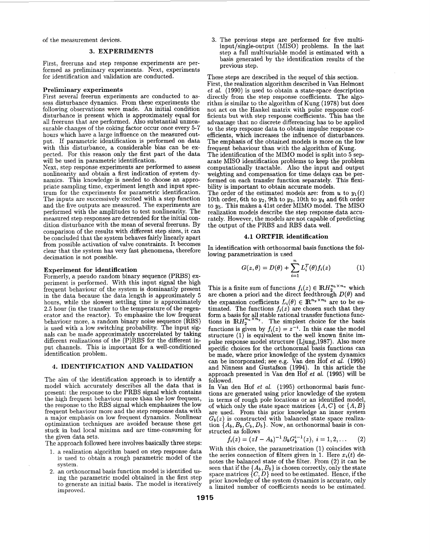of the measurement devices.

### **3. EXPERIMENTS**

First, freeruns and step response experiments are performed as preliminary experiments. Next, experiments for identification and validation are conducted.

**Preliminary experiments**<br>First several freerun experiments are conducted to assess disturbance dynamics. From these experiments the following observations were made. An initial condition disturbance is present which is approximately equal for all freeruns that are performed. Also substantial unmeasurable changes of the coking factor occur once every 5-7 hours which have a large influence on the measured output. If parametric identification is performed on data with this disturbance, a considerable bias can be expected. For this reason only the first part of the data will be used in parametric identification.<br>Next, step response experiments are performed to assess

nonlinearity and obtain a first indication of system dynamics. This knowledge is needed to choose an appropriate sampling time, experiment length and input spectrum for the experiments for parametric identification. The inputs are successively excited with a step function and the five outputs are measured. The experiments are performed with the amplitudes to test nonlinearity. The measured step responses are detrended for the initial con- dition disturbance with the mean of several freeruns. By comparison of the results with different step sizes, it can be concluded that the system behaves fairly linearly apart from possible activation of valve constraints. It becomes clear that the system has very fast phenomena, therefore decimation is not possible.

### **Experiment for identification**

Formerly, a pseudo random binary sequence (PRBS) experiment is performed. With this input signal the high frequent behaviour of the system is dominantly present in the data because the data length is approximately 5 hours, while the slowest settling time is approximately 2.5 hour (in the transfer to the temperature of the regenerator and the reactor). To emphasize the low frequent behaviour more, a random binary noise sequence (RBS) is used with a low switching probability. The input signals can be made approximately uncorrelated by taking different realizations of the (P)RBS for the different input channels. This is important for a well-conditioned identification problem.

### **4. IDENTIFICATION AND VALIDATION**

The aim of the identification approach is to identify a model which accurately describes all the data that is present: the response to the PRBS signal which contains the high frequent behaviour more than the low frequent, the response to the RBS signal which emphasizes the low<br>frequent behaviour more and the step response data with a major emphasis on low frequent dynamics. Nonlinear optimization techniques are avoided because these get stuck in bad local minima and are time-consuming for the given data sets.

The approach followed here involves basically three steps:

- 1. a realization algorithm based on step response data is used to obtain a rough parametric model of the system.
- 2. an orthonormal basis function model is identified us- ing the parametric model obtained in the first step to generate an initial basis. The model is iteratively improved.

**3.** The previous steps are performed for five multiinput/single-output (MISO) problems. In the last step a full multivariable model is estimated with a basis generated by the identification results of the previous step.

These steps are described in the sequel of this section. First, the realization algorithm described in Van Helmont *et al.* (1990) is used to obtain a state-space description directly from the step response coefficients. The algorithm is similar to the algorithm of Kung (1978) but does not act on the Hankel matrix with pulse response coefficients but with step response coefficients. This has the advantage that no discrete differencing has to be applied to the step response data to obtain impulse response co- efficients, which increases the influence of disturbances. The emphasis of the obtained models is more on the low frequent behaviour than with the algorithm of Kung.

The identification of the MIMO model is split into 5 separate MISO identification problems to keep the problem computationally tractable. Also the input and output weighting and compensation for time delays can be performed on each transfer function separately. This flexibility is important to obtain accurate models.

The order of the estimated models are: from  $u$  to  $y_1(t)$ 10th order, 6th to  $y_2$ , 9th to  $y_3$ , 10th to  $y_4$  and 6th order to **y5.** This makes a 41st order MIMO model. The MISO rately. However, the models are not capable of predicting the output of the PRBS and RBS data well.

#### **4.1 ORTFIR. identification**

In identification with orthonormal basis functions the following parametrization is used

$$
G(z,\theta) = D(\theta) + \sum_{i=1}^{n} L_i^T(\theta) f_i(z)
$$
 (1)

This is a finite sum of functions  $f_i(z) \in \mathbb{R}H_2^{n_b \times n_u}$  which are chosen a priori and the direct feedthrough  $D(\theta)$  and the expansion coefficients  $L_i(\theta) \in \mathbb{R}^{n_y \times n_b}$  are to be estimated. The functions  $f_i(z)$  are chosen such that they form a basis for all stable rational transfer functions functions in  $\mathbb{R}H_2^{n_u \times n_y}$ . The simplest choice for the basis functions is given by  $f_i(z) = z^{-i}$ . In this case the model structure  $(1)$  is equivalent to the well known finite impulse response model structure (Ljung,1987). Also more specific choices for the orthonormal basis functions can be made, where prior knowledge of the system dynamics be made, where prior knowledge of the system dynamics can be incorporated; see e.g. Van den Hof *et al.* (1995) and Ninness and Gustafson (1994). In this article the approach presented in Van den Hof *et al.* (1995) will be followed.

In Van den Hof *et al.* (1995) orthonormal basis functions are generated using prior knowledge of the system in terms of rough pole locations or an identified model, of which only the state space matrices  $\{A, C\}$  or  $\{A, B\}$  are used. From this prior knowledge an inner system  $G_b(z)$  is constructed with balanced state space realization  $\{A_b, B_b, C_b, D_b\}$ . Now, an orthonormal basis is constructed as follows

$$
f_i(z) = (zI - A_b)^{-1} B_b G_b^{i-1}(z), i = 1, 2, ...
$$
 (2)

With this choice, the parametrization (1) coincides with the series connection of filters given in 1. Here  $x_i(t)$  denotes the balanced state of the filter. From (2) it can be notes the balanced state of the filter. From (2) it can be seen that if the  $\{A_b, B_b\}$  is chosen correctly, only the state space matrices  $\{C, D\}$  need to be estimated. Hence, if the prior knowledge of the system dynamics is accurate, only a limited number of coefficients needs to be estimated.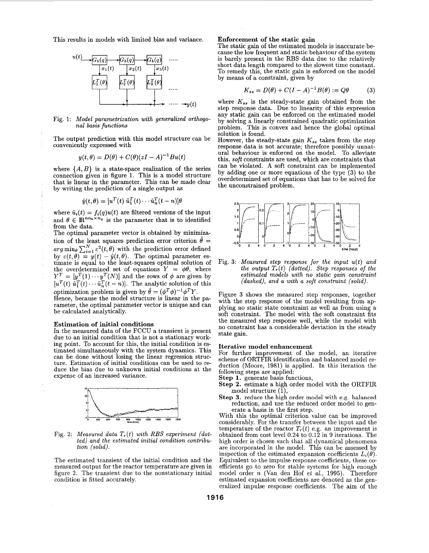This results in models with limited bias and variance.



Fig. 1: *Model parametrization with generalized orthogonal basis functions* 

The output prediction with this model structure can be conveniently expressed with

$$
y(t,\theta) = D(\theta) + C(\theta)(zI - A)^{-1}Bu(t)
$$

where  $\{A, B\}$  is a state-space realization of the series connection given in figure 1. This is a model structure that is linear in the parameter. This can be made clear by writing the prediction of a single output as

$$
\hat{y}(t,\theta) = [u^T(t) \tilde{u}_1^T(t) \cdots \tilde{u}_n^T(t-n)]\theta
$$

where  $\tilde{u}_i(t) = f_i(q)u(t)$  are filtered versions of the input and  $\theta \in \mathbb{R}^{nn_b \times n_y}$  is the parameter that is to identified from the data.

The optimal parameter vector is obtained by minimization of the least squares prediction error criterion  $\theta =$ *arg*  $\min_{\theta} \sum_{i=1}^{N} \varepsilon^{2}(t, \theta)$  with the prediction error defined by  $\varepsilon(t, \theta) = y(t) - \hat{y}(t, \theta)$ . The optimal parameter estimate is equal to the least-squares optimal solution of the overdetermined set of equations  $Y = \phi \theta$ , where  $Y^T = [y^T(1) \cdots y^T(N)]$  and the rows of  $\phi$  are given by  $[u^T(t) \tilde{u}_1^T(t) \cdots \tilde{u}_n^T(t-n)]$ . The analytic solution of this optimization problem is given by  $\hat{\theta} = (\phi^T \phi)^{-1} \phi^T Y$ .

Hence, because the model structure is linear in the parameter, the optimal parameter vector is unique and can be calculated analytically.

#### **Estimation of initial conditions**

In the measured data of the FCCU a transient is present due to an initial condition that is not a stationary working point. To account for this, the initial condition is es- timated simultaneously with the system dynamics. This can be done without losing the linear regression strucduce the bias due to unknown initial conditions at the expense of an increased variance.



Fig. 2: *Measured data*  $T_r(t)$  with RBS experiment (dot*ted) and the estimated initial condition contribution (solid).* 

The estimated transient of the initial condition and the measured output for the reactor temperature are given in figure 2. The transient due to the nonstationary initial condition is fitted accurately.

**Enforcement of the static gain**  cause the low frequent and static behaviour of the system is barely present in the RBS data due to the relatively short data length compared to the slowest time constant. To remedy this, the static gain is enforced on the model by means of a constraint, given by

$$
K_{ss} = D(\theta) + C(I - A)^{-1}B(\theta) := Q\theta \tag{3}
$$

where  $K_{ss}$  is the steady-state gain obtained from the step response data. Due to linearity of this expression any static gain can be enforced on the estimated model by solving a linearly constrained quadratic optimization problem. This is convex and hence the global optimal solution is found.

However, the steady-state gain  $K_{ss}$  taken from the step response data is not accurate; therefore possibly unnatural behaviour is enforced on the model. To alleviate this, *soft* constraints are used, which are constraints that can be violated. **A** soft constraint can be implemented by adding one or more equations of the type **(3)** to the overdetermined set of equations that has to be solved for the unconstrained problem.



Fig. **3:** *Measured step response for the input u(t) and the output*  $T_r(t)$  *(dotted). Step responses of the estimated models with no static gain constraint (dashed), and a with a soft constraint (solid).* 

Figure **3** shows the measured step responses, together with the step response of the model resulting from ap-<br>plying no static state constraint as well as from using a soft constraint. The model with the soft constraint fits the measured step response well, while the model with no constraint has a considerable deviation in the steady state gain.

#### **Iterative model enhancement**

For further improvement of the model, an iterative scheme of ORTFIR identification and balanced model reduction (Moore, 1981) is applied. In this iteration the following steps are applied: **Step 1.** generate basis functions,

- **Step 2.** estimate a high order model with the ORTFIR model structure (l),
- **Step 3.** reduce the high order model with e.g. balanced reduction, and use the reduced order model to generate a basis in the first step.

With this the optimal criterion value can be improved considerably. For the transfer between the input and the temperature of the reactor  $T_r(t)$  e.g. an improvement is obtained from cost level 0.24 to 0.12 in 9 iterations. The high order is chosen such that all dynamical phenomena are incorporated in the model. This can be assessed by inspection of the estimated expansion coefficients  $L_i(\theta)$ . Equivalent to the impulse response coefficients, these co- efficients go to zero for stable systems for high enough model order *n* (Van den Hof *et al.,* 1995). Therefore estimated expansion coefficients are denoted as the generalized impulse response coefficients. The aim of the